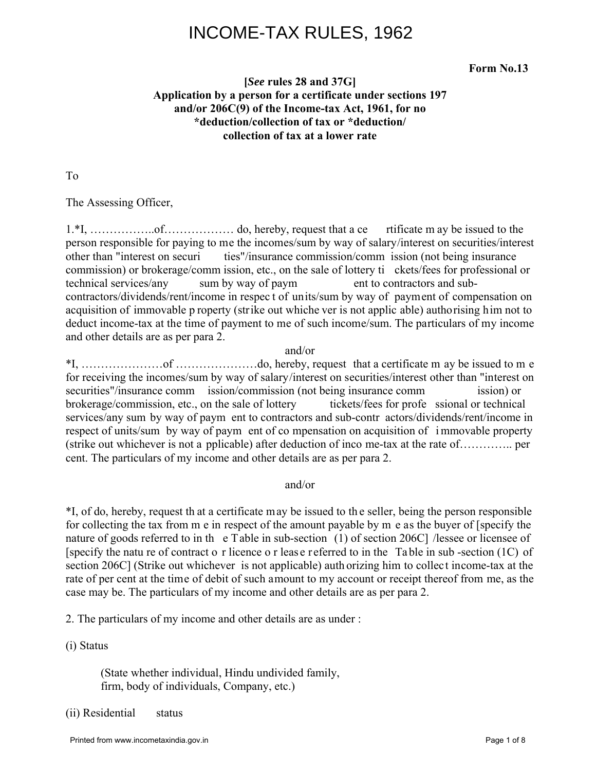# INCOME-TAX RULES, 1962

**Form No.13** 

### **[***See* **rules 28 and 37G] Application by a person for a certificate under sections 197 and/or 206C(9) of the Income-tax Act, 1961, for no \*deduction/collection of tax or \*deduction/ collection of tax at a lower rate**

To

The Assessing Officer,

1.\*I, ……………..of……………… do, hereby, request that a ce rtificate m ay be issued to the person responsible for paying to me the incomes/sum by way of salary/interest on securities/interest other than "interest on securi ties"/insurance commission/comm ission (not being insurance commission) or brokerage/comm ission, etc., on the sale of lottery ti ckets/fees for professional or technical services/any sum by way of paym ent to contractors and subcontractors/dividends/rent/income in respec t of units/sum by way of payment of compensation on acquisition of immovable p roperty (strike out whiche ver is not applic able) authorising him not to deduct income-tax at the time of payment to me of such income/sum. The particulars of my income and other details are as per para 2.

#### and/or

\*I, …………………of …………………do, hereby, request that a certificate m ay be issued to m e for receiving the incomes/sum by way of salary/interest on securities/interest other than "interest on securities"/insurance comm ission/commission (not being insurance comm ission) or brokerage/commission, etc., on the sale of lottery tickets/fees for profe ssional or technical services/any sum by way of paym ent to contractors and sub-contr actors/dividends/rent/income in respect of units/sum by way of paym ent of co mpensation on acquisition of i mmovable property (strike out whichever is not a pplicable) after deduction of inco me-tax at the rate of………….. per cent. The particulars of my income and other details are as per para 2.

#### and/or

\*I, of do, hereby, request th at a certificate may be issued to th e seller, being the person responsible for collecting the tax from m e in respect of the amount payable by m e as the buyer of [specify the nature of goods referred to in th e Table in sub-section (1) of section 206C] /lessee or licensee of [specify the natu re of contract o r licence o r leas e referred to in the Table in sub -section (1C) of section 206C] (Strike out whichever is not applicable) auth orizing him to collect income-tax at the rate of per cent at the time of debit of such amount to my account or receipt thereof from me, as the case may be. The particulars of my income and other details are as per para 2.

2. The particulars of my income and other details are as under :

(i) Status

 (State whether individual, Hindu undivided family, firm, body of individuals, Company, etc.)

(ii) Residential status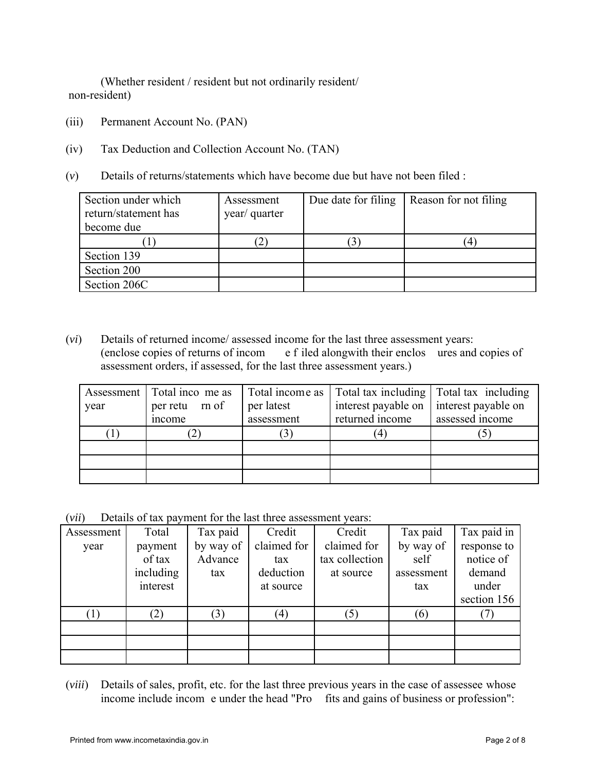(Whether resident / resident but not ordinarily resident/ non-resident)

- (iii) Permanent Account No. (PAN)
- (iv) Tax Deduction and Collection Account No. (TAN)
- (*v*) Details of returns/statements which have become due but have not been filed :

| Section under which<br>return/statement has<br>become due | Assessment<br>year/ quarter | Due date for filing | Reason for not filing |
|-----------------------------------------------------------|-----------------------------|---------------------|-----------------------|
|                                                           |                             |                     | 4                     |
| Section 139                                               |                             |                     |                       |
| Section 200                                               |                             |                     |                       |
| Section 206C                                              |                             |                     |                       |

(*vi*) Details of returned income/ assessed income for the last three assessment years: (enclose copies of returns of incom e f iled alongwith their enclos ures and copies of assessment orders, if assessed, for the last three assessment years.)

|      | Assessment   Total inco me as | Total income as | Total tax including | Total tax including |  |
|------|-------------------------------|-----------------|---------------------|---------------------|--|
| year | per latest<br>per retu m of   |                 | interest payable on | interest payable on |  |
|      | mcome                         | assessment      | returned income     | assessed income     |  |
|      |                               |                 | $\overline{4}$      |                     |  |
|      |                               |                 |                     |                     |  |
|      |                               |                 |                     |                     |  |
|      |                               |                 |                     |                     |  |

(*vii*) Details of tax payment for the last three assessment years:

| Assessment | Total     | Tax paid  | Credit      | Credit         | Tax paid   | Tax paid in |
|------------|-----------|-----------|-------------|----------------|------------|-------------|
| year       | payment   | by way of | claimed for | claimed for    | by way of  | response to |
|            | of tax    | Advance   | tax         | tax collection | self       | notice of   |
|            | including | tax       | deduction   | at source      | assessment | demand      |
|            | interest  |           | at source   |                | tax        | under       |
|            |           |           |             |                |            | section 156 |
|            | (2)       | (3)       | (4)         | (5)            | (6)        |             |
|            |           |           |             |                |            |             |
|            |           |           |             |                |            |             |
|            |           |           |             |                |            |             |

(*viii*) Details of sales, profit, etc. for the last three previous years in the case of assessee whose income include incom e under the head "Pro fits and gains of business or profession":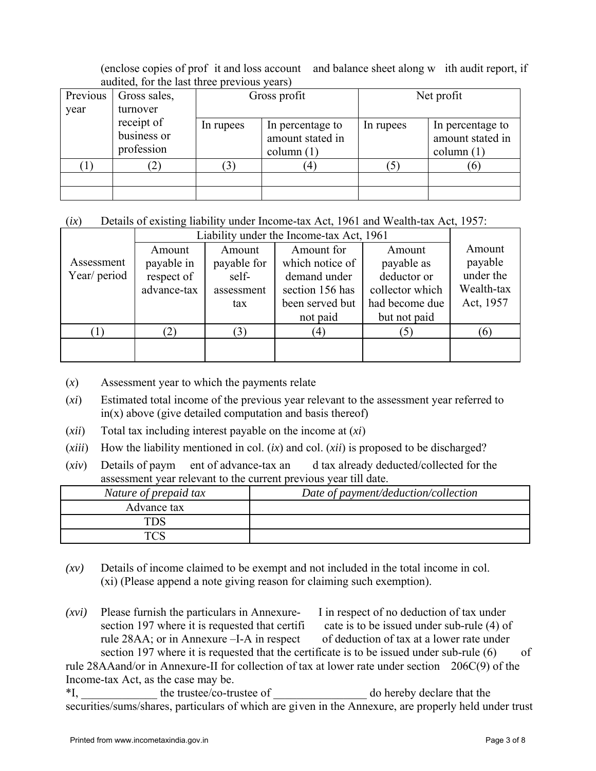(enclose copies of prof it and loss account and balance sheet along w ith audit report, if audited, for the last three previous years)

| Previous<br>year | Gross sales,<br>turnover                | Gross profit |                                                      | Net profit |                                                      |  |
|------------------|-----------------------------------------|--------------|------------------------------------------------------|------------|------------------------------------------------------|--|
|                  | receipt of<br>business or<br>profession | In rupees    | In percentage to<br>amount stated in<br>column $(1)$ | In rupees  | In percentage to<br>amount stated in<br>column $(1)$ |  |
|                  |                                         |              | 4                                                    | 5          | 10.                                                  |  |
|                  |                                         |              |                                                      |            |                                                      |  |

### (*ix*) Details of existing liability under Income-tax Act, 1961 and Wealth-tax Act, 1957:

|                            | Liability under the Income-tax Act, 1961          |                                                     |                                                                                                 |                                                                                          |                                                           |  |
|----------------------------|---------------------------------------------------|-----------------------------------------------------|-------------------------------------------------------------------------------------------------|------------------------------------------------------------------------------------------|-----------------------------------------------------------|--|
| Assessment<br>Year/ period | Amount<br>payable in<br>respect of<br>advance-tax | Amount<br>payable for<br>self-<br>assessment<br>tax | Amount for<br>which notice of<br>demand under<br>section 156 has<br>been served but<br>not paid | Amount<br>payable as<br>deductor or<br>collector which<br>had become due<br>but not paid | Amount<br>payable<br>under the<br>Wealth-tax<br>Act, 1957 |  |
|                            | (2)                                               |                                                     | (4)                                                                                             | (5)                                                                                      | $\epsilon$                                                |  |
|                            |                                                   |                                                     |                                                                                                 |                                                                                          |                                                           |  |

- (*x*) Assessment year to which the payments relate
- (*xi*) Estimated total income of the previous year relevant to the assessment year referred to  $in(x)$  above (give detailed computation and basis thereof)
- (*xii*) Total tax including interest payable on the income at (*xi*)
- (*xiii*) How the liability mentioned in col. (*ix*) and col. (*xii*) is proposed to be discharged?
- (*xiv*) Details of paym ent of advance-tax an d tax already deducted/collected for the assessment year relevant to the current previous year till date.

| Nature of prepaid tax | Date of payment/deduction/collection |
|-----------------------|--------------------------------------|
| Advance tax           |                                      |
|                       |                                      |
|                       |                                      |

- $(xv)$  Details of income claimed to be exempt and not included in the total income in col. (xi) (Please append a note giving reason for claiming such exemption).
- *(xvi)* Please furnish the particulars in Annexure- I in respect of no deduction of tax under section 197 where it is requested that certifi cate is to be issued under sub-rule (4) of rule 28AA; or in Annexure –I-A in respect of deduction of tax at a lower rate under section 197 where it is requested that the certificate is to be issued under sub-rule  $(6)$  of rule 28AAand/or in Annexure-II for collection of tax at lower rate under section 206C(9) of the

Income-tax Act, as the case may be.

\*I, the trustee/co-trustee of do hereby declare that the securities/sums/shares, particulars of which are given in the Annexure, are properly held under trust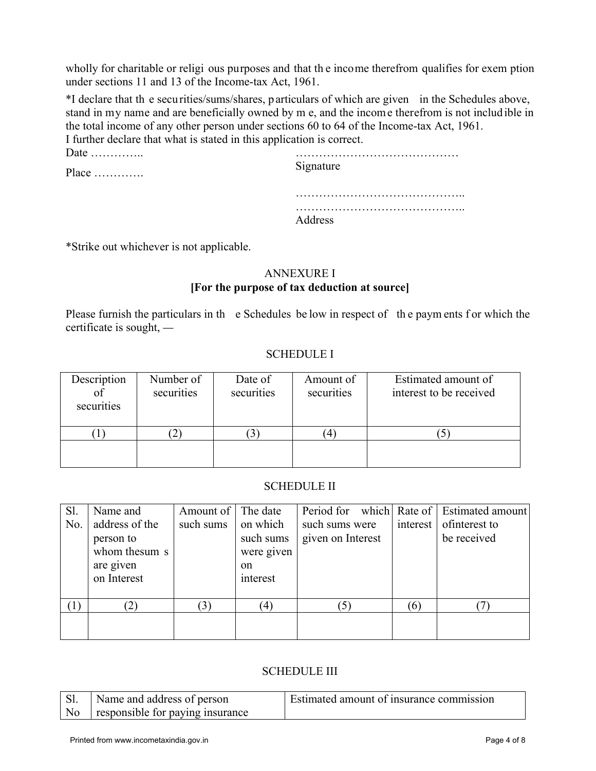wholly for charitable or religi ous purposes and that th e income therefrom qualifies for exem ption under sections 11 and 13 of the Income-tax Act, 1961.

\*I declare that th e securities/sums/shares, particulars of which are given in the Schedules above, stand in my name and are beneficially owned by m e, and the income therefrom is not includ ible in the total income of any other person under sections 60 to 64 of the Income-tax Act, 1961. I further declare that what is stated in this application is correct.

| Date $\dots\dots\dots\dots$  |           |
|------------------------------|-----------|
| Place $\dots\dots\dots\dots$ | Signature |
|                              |           |
|                              | Address   |
|                              |           |

\*Strike out whichever is not applicable.

### ANNEXURE I **[For the purpose of tax deduction at source]**

Please furnish the particulars in the Schedules be low in respect of the paym ents f or which the certificate is sought, *—*

### SCHEDULE I

| Description<br>of<br>securities | Number of<br>securities | Date of<br>securities | Amount of<br>securities | Estimated amount of<br>interest to be received |
|---------------------------------|-------------------------|-----------------------|-------------------------|------------------------------------------------|
|                                 | ∼                       |                       |                         |                                                |
|                                 |                         |                       |                         |                                                |

### SCHEDULE II

| Sl.              | Name and       | Amount of | The date   |                   |          | Period for which Rate of   Estimated amount |
|------------------|----------------|-----------|------------|-------------------|----------|---------------------------------------------|
| No.              | address of the | such sums | on which   | such sums were    | interest | of interest to                              |
|                  | person to      |           | such sums  | given on Interest |          | be received                                 |
|                  | whom thesum s  |           | were given |                   |          |                                             |
|                  | are given      |           | on         |                   |          |                                             |
|                  | on Interest    |           | interest   |                   |          |                                             |
|                  |                |           |            |                   |          |                                             |
| $\left(1\right)$ |                |           | (4)        |                   | (6)      |                                             |
|                  |                |           |            |                   |          |                                             |
|                  |                |           |            |                   |          |                                             |

# SCHEDULE III

|                | Name and address of person       | Estimated amount of insurance commission |
|----------------|----------------------------------|------------------------------------------|
| N <sub>o</sub> | responsible for paying insurance |                                          |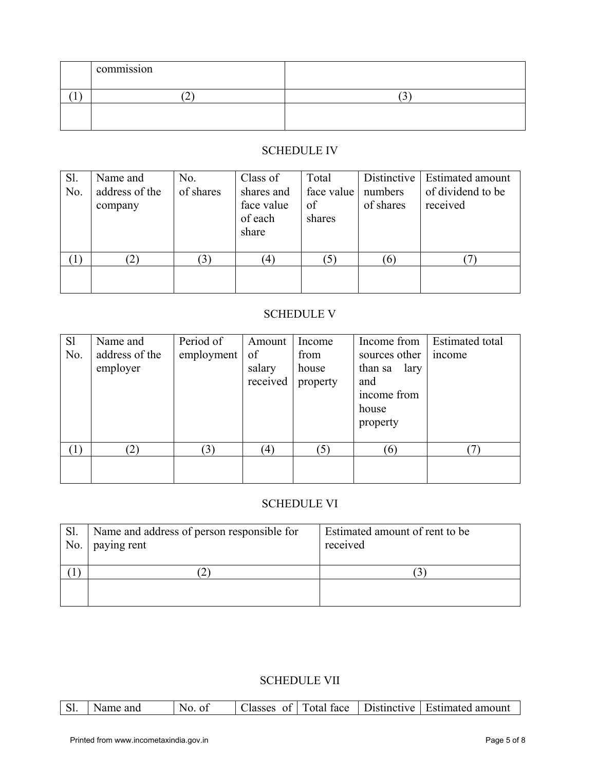| $\cdot$ $\cdot$<br>commission |             |
|-------------------------------|-------------|
| $\sim$<br>∼                   | $\sim$<br>ت |
|                               |             |
|                               |             |

## SCHEDULE IV

| S1.<br>No.       | Name and<br>address of the<br>company | No.<br>of shares | Class of<br>shares and<br>face value<br>of each<br>share | Total<br>face value<br>οf<br>shares | numbers<br>of shares | Distinctive   Estimated amount<br>of dividend to be<br>received |
|------------------|---------------------------------------|------------------|----------------------------------------------------------|-------------------------------------|----------------------|-----------------------------------------------------------------|
| $\left(1\right)$ | $\hat{c}$ )                           |                  | $\left(4\right)$                                         | $\mathfrak{I}$                      |                      |                                                                 |
|                  |                                       |                  |                                                          |                                     |                      |                                                                 |

# SCHEDULE V

| S1<br>No. | Name and<br>address of the<br>employer | Period of<br>employment | Amount<br>of<br>salary<br>received | Income<br>from<br>house<br>property | Income from<br>sources other<br>lary<br>than sa<br>and<br>income from<br>house<br>property | Estimated total<br><i>n</i> come |
|-----------|----------------------------------------|-------------------------|------------------------------------|-------------------------------------|--------------------------------------------------------------------------------------------|----------------------------------|
| (1)       | $\mathbf{2}$                           | 3)                      | (4)                                | (5)                                 | (6)                                                                                        |                                  |

## SCHEDULE VI

| Sl.<br>No. | Name and address of person responsible for<br>paying rent | Estimated amount of rent to be<br>received |
|------------|-----------------------------------------------------------|--------------------------------------------|
|            |                                                           |                                            |
|            |                                                           |                                            |

# SCHEDULE VII

|  | S1. | Name and | $N_{\Omega}$<br>0 <sup>t</sup> | $\text{Classes}$ |  |  | of Total face Distinctive Estimated amount |
|--|-----|----------|--------------------------------|------------------|--|--|--------------------------------------------|
|--|-----|----------|--------------------------------|------------------|--|--|--------------------------------------------|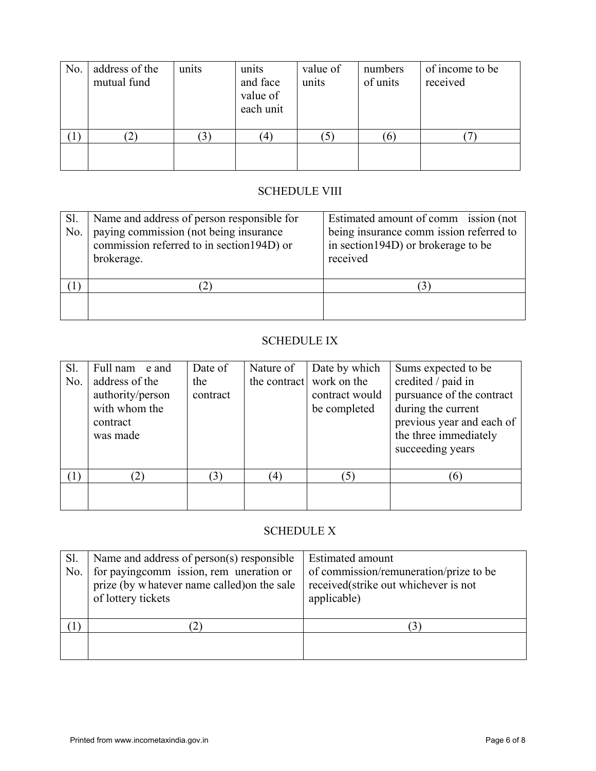| No. | address of the<br>mutual fund | units | units<br>and face<br>value of<br>each unit | value of<br>units | numbers<br>of units | of income to be<br>received |
|-----|-------------------------------|-------|--------------------------------------------|-------------------|---------------------|-----------------------------|
|     |                               |       |                                            |                   |                     |                             |
|     |                               |       |                                            |                   |                     |                             |

# SCHEDULE VIII

| Sl.<br>No. | Name and address of person responsible for<br>paying commission (not being insurance<br>commission referred to in section 194D) or<br>brokerage. | Estimated amount of comm ission (not<br>being insurance comm ission referred to<br>in section 194D) or brokerage to be<br>received |
|------------|--------------------------------------------------------------------------------------------------------------------------------------------------|------------------------------------------------------------------------------------------------------------------------------------|
|            |                                                                                                                                                  |                                                                                                                                    |
|            |                                                                                                                                                  |                                                                                                                                    |

# SCHEDULE IX

| Sl.<br>No. | Full nam e and<br>address of the<br>authority/person<br>with whom the<br>contract<br>was made | Date of<br>the<br>contract | Nature of | Date by which<br>the contract work on the<br>contract would<br>be completed | Sums expected to be<br>credited / paid in<br>pursuance of the contract<br>during the current<br>previous year and each of<br>the three immediately<br>succeeding years |
|------------|-----------------------------------------------------------------------------------------------|----------------------------|-----------|-----------------------------------------------------------------------------|------------------------------------------------------------------------------------------------------------------------------------------------------------------------|
| (1)        | (2)                                                                                           | $\mathfrak{B}$             | (4)       | (5)                                                                         | (6)                                                                                                                                                                    |
|            |                                                                                               |                            |           |                                                                             |                                                                                                                                                                        |

# SCHEDULE X

| Sl.<br>No. | Name and address of person(s) responsible<br>for paying comm ission, rem uneration or<br>prize (by whatever name called) on the sale<br>of lottery tickets | Estimated amount<br>of commission/remuneration/prize to be<br>received(strike out whichever is not<br>applicable) |
|------------|------------------------------------------------------------------------------------------------------------------------------------------------------------|-------------------------------------------------------------------------------------------------------------------|
|            |                                                                                                                                                            | $\overline{5}$                                                                                                    |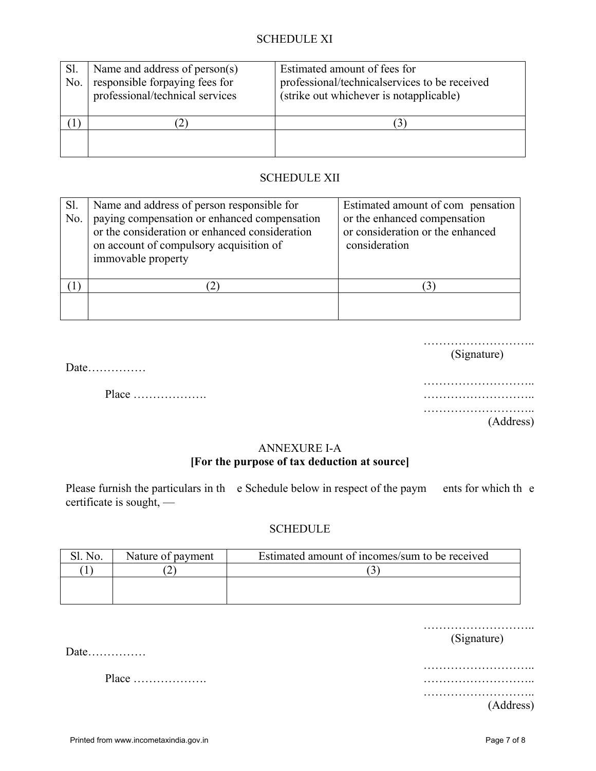### SCHEDULE XI

| Sl.<br>No. | Name and address of person(s)<br>responsible forpaying fees for<br>professional/technical services | Estimated amount of fees for<br>professional/technicalservices to be received<br>(strike out whichever is notapplicable) |
|------------|----------------------------------------------------------------------------------------------------|--------------------------------------------------------------------------------------------------------------------------|
|            |                                                                                                    |                                                                                                                          |
|            |                                                                                                    |                                                                                                                          |

### SCHEDULE XII

| Sl.<br>No. | Name and address of person responsible for<br>paying compensation or enhanced compensation<br>or the consideration or enhanced consideration | Estimated amount of compensation<br>or the enhanced compensation<br>or consideration or the enhanced |
|------------|----------------------------------------------------------------------------------------------------------------------------------------------|------------------------------------------------------------------------------------------------------|
|            | on account of compulsory acquisition of<br>immovable property                                                                                | consideration                                                                                        |
|            |                                                                                                                                              |                                                                                                      |
|            |                                                                                                                                              |                                                                                                      |

………………………..

Date……………

(Signature)

……………………….. Place ………………. ……………………….. ……………………….. (Address)

### ANNEXURE I-A

### **[For the purpose of tax deduction at source]**

Please furnish the particulars in the Schedule below in respect of the paymetric for which the e certificate is sought, —

### **SCHEDULE**

| No. | Nature of payment | Estimated amount of incomes/sum to be received |
|-----|-------------------|------------------------------------------------|
|     |                   |                                                |
|     |                   |                                                |
|     |                   |                                                |

| Date | (Signature) |
|------|-------------|
|      |             |
|      |             |
|      | (Address)   |